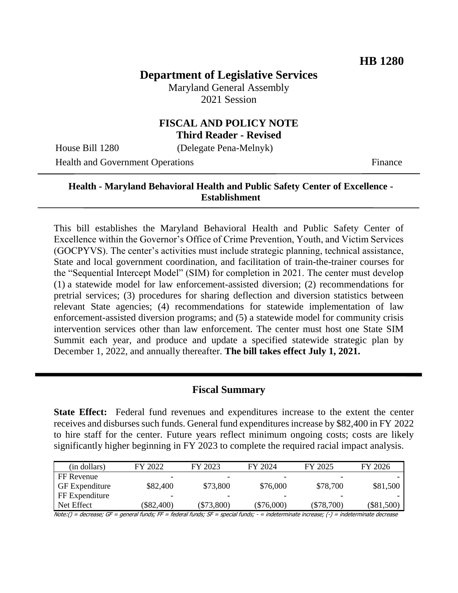# **Department of Legislative Services**

Maryland General Assembly 2021 Session

# **FISCAL AND POLICY NOTE Third Reader - Revised**

House Bill 1280 (Delegate Pena-Melnyk)

Health and Government Operations Finance

### **Health - Maryland Behavioral Health and Public Safety Center of Excellence - Establishment**

This bill establishes the Maryland Behavioral Health and Public Safety Center of Excellence within the Governor's Office of Crime Prevention, Youth, and Victim Services (GOCPYVS). The center's activities must include strategic planning, technical assistance, State and local government coordination, and facilitation of train-the-trainer courses for the "Sequential Intercept Model" (SIM) for completion in 2021. The center must develop (1) a statewide model for law enforcement-assisted diversion; (2) recommendations for pretrial services; (3) procedures for sharing deflection and diversion statistics between relevant State agencies; (4) recommendations for statewide implementation of law enforcement-assisted diversion programs; and (5) a statewide model for community crisis intervention services other than law enforcement. The center must host one State SIM Summit each year, and produce and update a specified statewide strategic plan by December 1, 2022, and annually thereafter. **The bill takes effect July 1, 2021.**

#### **Fiscal Summary**

**State Effect:** Federal fund revenues and expenditures increase to the extent the center receives and disburses such funds. General fund expenditures increase by \$82,400 in FY 2022 to hire staff for the center. Future years reflect minimum ongoing costs; costs are likely significantly higher beginning in FY 2023 to complete the required racial impact analysis.

| (in dollars)          | FY 2022      | FY 2023      | FY 2024      | FY 2025      | FY 2026    |
|-----------------------|--------------|--------------|--------------|--------------|------------|
| FF Revenue            | -            | -            | -            | -            |            |
| <b>GF</b> Expenditure | \$82,400     | \$73,800     | \$76,000     | \$78,700     | \$81,500   |
| FF Expenditure        | -            | -            | -            | -            |            |
| Net Effect            | $(\$82,400)$ | $(\$73,800)$ | $(\$76,000)$ | $(\$78,700)$ | (\$81,500) |

Note:() = decrease; GF = general funds; FF = federal funds; SF = special funds; - = indeterminate increase; (-) = indeterminate decrease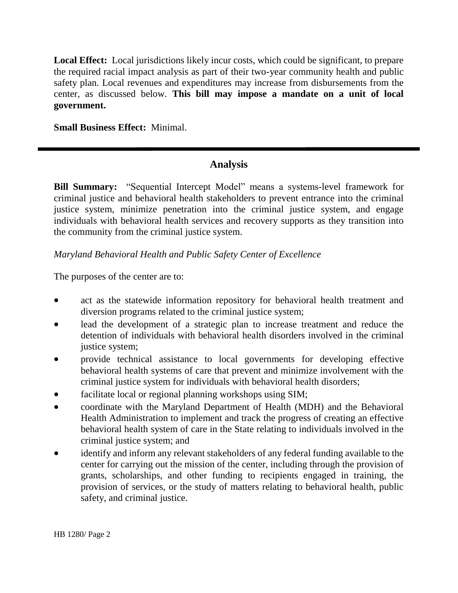**Local Effect:** Local jurisdictions likely incur costs, which could be significant, to prepare the required racial impact analysis as part of their two-year community health and public safety plan. Local revenues and expenditures may increase from disbursements from the center, as discussed below. **This bill may impose a mandate on a unit of local government.**

**Small Business Effect:** Minimal.

# **Analysis**

**Bill Summary:** "Sequential Intercept Model" means a systems-level framework for criminal justice and behavioral health stakeholders to prevent entrance into the criminal justice system, minimize penetration into the criminal justice system, and engage individuals with behavioral health services and recovery supports as they transition into the community from the criminal justice system.

### *Maryland Behavioral Health and Public Safety Center of Excellence*

The purposes of the center are to:

- act as the statewide information repository for behavioral health treatment and diversion programs related to the criminal justice system;
- lead the development of a strategic plan to increase treatment and reduce the detention of individuals with behavioral health disorders involved in the criminal justice system;
- provide technical assistance to local governments for developing effective behavioral health systems of care that prevent and minimize involvement with the criminal justice system for individuals with behavioral health disorders;
- facilitate local or regional planning workshops using SIM;
- coordinate with the Maryland Department of Health (MDH) and the Behavioral Health Administration to implement and track the progress of creating an effective behavioral health system of care in the State relating to individuals involved in the criminal justice system; and
- identify and inform any relevant stakeholders of any federal funding available to the center for carrying out the mission of the center, including through the provision of grants, scholarships, and other funding to recipients engaged in training, the provision of services, or the study of matters relating to behavioral health, public safety, and criminal justice.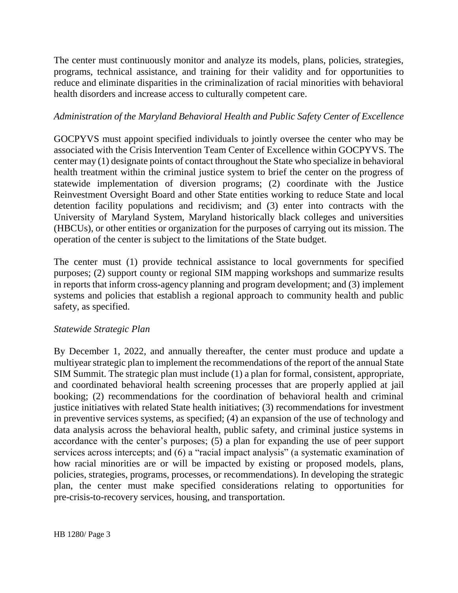The center must continuously monitor and analyze its models, plans, policies, strategies, programs, technical assistance, and training for their validity and for opportunities to reduce and eliminate disparities in the criminalization of racial minorities with behavioral health disorders and increase access to culturally competent care.

## *Administration of the Maryland Behavioral Health and Public Safety Center of Excellence*

GOCPYVS must appoint specified individuals to jointly oversee the center who may be associated with the Crisis Intervention Team Center of Excellence within GOCPYVS. The center may (1) designate points of contact throughout the State who specialize in behavioral health treatment within the criminal justice system to brief the center on the progress of statewide implementation of diversion programs; (2) coordinate with the Justice Reinvestment Oversight Board and other State entities working to reduce State and local detention facility populations and recidivism; and (3) enter into contracts with the University of Maryland System, Maryland historically black colleges and universities (HBCUs), or other entities or organization for the purposes of carrying out its mission. The operation of the center is subject to the limitations of the State budget.

The center must (1) provide technical assistance to local governments for specified purposes; (2) support county or regional SIM mapping workshops and summarize results in reports that inform cross-agency planning and program development; and (3) implement systems and policies that establish a regional approach to community health and public safety, as specified.

## *Statewide Strategic Plan*

By December 1, 2022, and annually thereafter, the center must produce and update a multiyear strategic plan to implement the recommendations of the report of the annual State SIM Summit. The strategic plan must include (1) a plan for formal, consistent, appropriate, and coordinated behavioral health screening processes that are properly applied at jail booking; (2) recommendations for the coordination of behavioral health and criminal justice initiatives with related State health initiatives; (3) recommendations for investment in preventive services systems, as specified; (4) an expansion of the use of technology and data analysis across the behavioral health, public safety, and criminal justice systems in accordance with the center's purposes; (5) a plan for expanding the use of peer support services across intercepts; and (6) a "racial impact analysis" (a systematic examination of how racial minorities are or will be impacted by existing or proposed models, plans, policies, strategies, programs, processes, or recommendations). In developing the strategic plan, the center must make specified considerations relating to opportunities for pre-crisis-to-recovery services, housing, and transportation.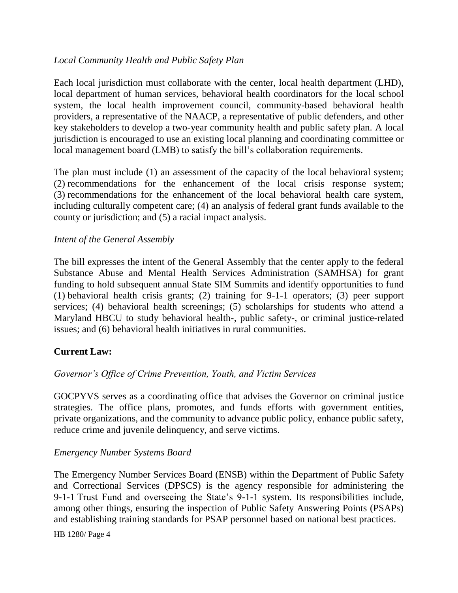## *Local Community Health and Public Safety Plan*

Each local jurisdiction must collaborate with the center, local health department (LHD), local department of human services, behavioral health coordinators for the local school system, the local health improvement council, community-based behavioral health providers, a representative of the NAACP, a representative of public defenders, and other key stakeholders to develop a two-year community health and public safety plan. A local jurisdiction is encouraged to use an existing local planning and coordinating committee or local management board (LMB) to satisfy the bill's collaboration requirements.

The plan must include (1) an assessment of the capacity of the local behavioral system; (2) recommendations for the enhancement of the local crisis response system; (3) recommendations for the enhancement of the local behavioral health care system, including culturally competent care; (4) an analysis of federal grant funds available to the county or jurisdiction; and (5) a racial impact analysis.

### *Intent of the General Assembly*

The bill expresses the intent of the General Assembly that the center apply to the federal Substance Abuse and Mental Health Services Administration (SAMHSA) for grant funding to hold subsequent annual State SIM Summits and identify opportunities to fund (1) behavioral health crisis grants; (2) training for 9-1-1 operators; (3) peer support services; (4) behavioral health screenings; (5) scholarships for students who attend a Maryland HBCU to study behavioral health-, public safety-, or criminal justice-related issues; and (6) behavioral health initiatives in rural communities.

## **Current Law:**

#### *Governor's Office of Crime Prevention, Youth, and Victim Services*

GOCPYVS serves as a coordinating office that advises the Governor on criminal justice strategies. The office plans, promotes, and funds efforts with government entities, private organizations, and the community to advance public policy, enhance public safety, reduce crime and juvenile delinquency, and serve victims.

#### *Emergency Number Systems Board*

The Emergency Number Services Board (ENSB) within the Department of Public Safety and Correctional Services (DPSCS) is the agency responsible for administering the 9-1-1 Trust Fund and overseeing the State's 9-1-1 system. Its responsibilities include, among other things, ensuring the inspection of Public Safety Answering Points (PSAPs) and establishing training standards for PSAP personnel based on national best practices.

HB 1280/ Page 4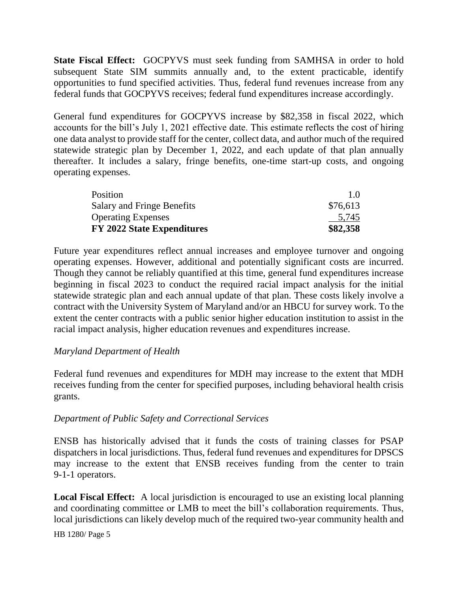**State Fiscal Effect:** GOCPYVS must seek funding from SAMHSA in order to hold subsequent State SIM summits annually and, to the extent practicable, identify opportunities to fund specified activities. Thus, federal fund revenues increase from any federal funds that GOCPYVS receives; federal fund expenditures increase accordingly.

General fund expenditures for GOCPYVS increase by \$82,358 in fiscal 2022, which accounts for the bill's July 1, 2021 effective date. This estimate reflects the cost of hiring one data analyst to provide staff for the center, collect data, and author much of the required statewide strategic plan by December 1, 2022, and each update of that plan annually thereafter. It includes a salary, fringe benefits, one-time start-up costs, and ongoing operating expenses.

| Position                          | $1.0^{\circ}$ |
|-----------------------------------|---------------|
| <b>Salary and Fringe Benefits</b> | \$76,613      |
| <b>Operating Expenses</b>         | 5.745         |
| <b>FY 2022 State Expenditures</b> | \$82,358      |

Future year expenditures reflect annual increases and employee turnover and ongoing operating expenses. However, additional and potentially significant costs are incurred. Though they cannot be reliably quantified at this time, general fund expenditures increase beginning in fiscal 2023 to conduct the required racial impact analysis for the initial statewide strategic plan and each annual update of that plan. These costs likely involve a contract with the University System of Maryland and/or an HBCU for survey work. To the extent the center contracts with a public senior higher education institution to assist in the racial impact analysis, higher education revenues and expenditures increase.

## *Maryland Department of Health*

Federal fund revenues and expenditures for MDH may increase to the extent that MDH receives funding from the center for specified purposes, including behavioral health crisis grants.

#### *Department of Public Safety and Correctional Services*

ENSB has historically advised that it funds the costs of training classes for PSAP dispatchers in local jurisdictions. Thus, federal fund revenues and expenditures for DPSCS may increase to the extent that ENSB receives funding from the center to train 9-1-1 operators.

**Local Fiscal Effect:** A local jurisdiction is encouraged to use an existing local planning and coordinating committee or LMB to meet the bill's collaboration requirements. Thus, local jurisdictions can likely develop much of the required two-year community health and

HB 1280/ Page 5